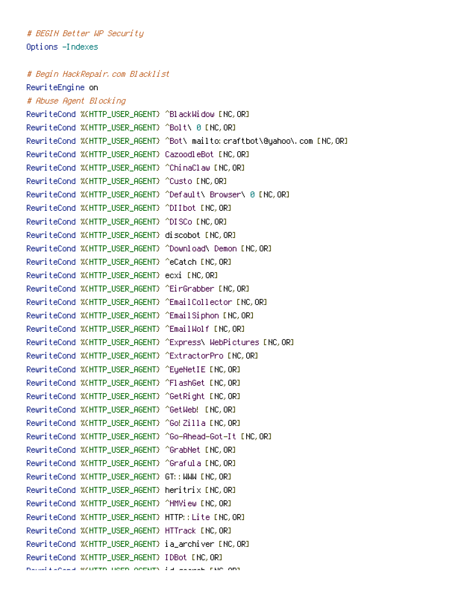# BEGIN Better WP Security Options -Indexes

# Begin HackRepair, com Blacklist

RewriteEngine on # Abuse Agent Blocking RewriteCond %(HTTP\_USER\_AGENT) ^BlackWidow [NC, OR] RewriteCond %(HTTP\_USER\_AGENT) ^Bolt\ 0 [NC, OR] RewriteCond %(HTTP\_USER\_AGENT) ^Bot\ mailto: craftbot\@yahoo\.com [NC, OR] RewriteCond %(HTTP\_USER\_AGENT) CazoodleBot [NC, OR] RewriteCond %(HTTP\_USER\_AGENT) ^ChinaClaw [NC, OR] RewriteCond %(HTTP\_USER\_AGENT) ^Custo [NC, OR] RewriteCond %(HTTP USER AGENT) ^Default\ Browser\ 0 [NC.OR] RewriteCond %(HTTP\_USER\_AGENT) ^DIIbot [NC, OR] RewriteCond %(HTTP\_USER\_AGENT) ^DISCo [NC, OR] RewriteCond %(HTTP USER AGENT) discobot [NC.OR] RewriteCond %(HTTP\_USER\_AGENT) ^Download\ Demon [NC, OR] RewriteCond %(HTTP\_USER\_AGENT) ^eCatch [NC, OR] RewriteCond %(HTTP\_USER\_AGENT) ecxi [NC, OR] RewriteCond %(HTTP USER AGENT) ^EirGrabber [NC.OR] RewriteCond %(HTTP\_USER\_AGENT) ^EmailCollector [NC, OR] RewriteCond %(HTTP\_USER\_AGENT) ^EmailSiphon [NC, OR] RewriteCond %(HTTP USER AGENT) ^EmailWolf [NC.OR] RewriteCond %(HTTP\_USER\_AGENT) ^Express\ WebPictures [NC, OR] RewriteCond %(HTTP\_USER\_AGENT) ^ExtractorPro [NC, OR] RewriteCond %(HTTP\_USER\_AGENT) ^EyeNetIE [NC, OR] RewriteCond %(HTTP\_USER\_AGENT) ^FlashGet [NC, OR] RewriteCond %(HTTP\_USER\_AGENT) ^GetRight [NC, OR] RewriteCond %(HTTP\_USER\_AGENT) ^GetWeb! [NC, OR] RewriteCond %(HTTP\_USER\_AGENT) ^Go! Zilla [NC, OR] RewriteCond %(HTTP\_USER\_AGENT) ^Go-Ahead-Got-It [NC, OR] RewriteCond %(HTTP\_USER\_AGENT) ^GrabNet [NC, OR] RewriteCond %(HTTP\_USER\_AGENT) ^Grafula [NC, OR] RewriteCond %(HTTP\_USER\_AGENT) GT:: MMM ENC. OR] RewriteCond %CHTTP USER AGENT} heritrix [NC.OR] RewriteCond %(HTTP\_USER\_AGENT) ^HMView [NC, OR] RewriteCond %(HTTP\_USER\_AGENT) HTTP:: Lite [NC, OR] RewriteCond %(HTTP\_USER\_AGENT) HTTrack [NC, OR] RewriteCond %(HTTP\_USER\_AGENT) ia\_archiver [NC, OR] RewriteCond %(HTTP USER AGENT) IDBot [NC.OR] natualized writte need optimalized and the one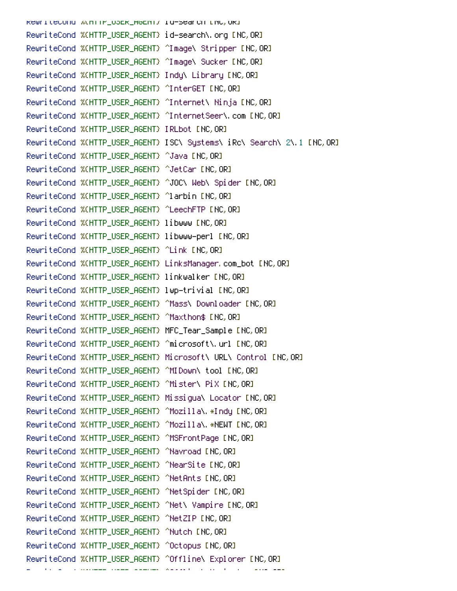RewriteCond Winfir\_OSER\_H6ENT/ 18-Search LNC,ORI RewriteCond %(HTTP\_USER\_AGENT) ^Image\ Stripper [NC, OR] RewriteCond %(HTTP\_USER\_AGENT) ^Image\ Sucker [NC, OR] RewriteCond %(HTTP\_USER\_AGENT) Indu\ Library [NC, OR] RewriteCond %(HTTP\_USER\_AGENT) ^InterGET [NC, OR] RewriteCond %(HTTP\_USER\_AGENT) ^Internet\ Ninja [NC, OR] RewriteCond %(HTTP USER AGENT) ^InternetSeer\, com [NC.OR] RewriteCond %(HTTP\_USER\_AGENT) IRLbot [NC, OR] RewriteCond %(HTTP\_USER\_AGENT) ISC\ Systems\ iRc\ Search\ 2\ 1 [NC,OR] RewriteCond %(HTTP\_USER\_AGENT) ^Java [NC, OR] RewriteCond %(HTTP\_USER\_AGENT) ^JetCar [NC, OR] RewriteCond %(HTTP\_USER\_AGENT) ^JOC\ Web\ Spider [NC, OR] RewriteCond %(HTTP\_USER\_AGENT) ^larbin [NC, OR] RewriteCond %(HTTP\_USER\_AGENT) ^LeechFTP [NC, OR] RewriteCond %(HTTP\_USER\_AGENT) libwww [NC, OR] RewriteCond %(HTTP\_USER\_AGENT) libwww-perl [NC, OR] RewriteCond %(HTTP\_USER\_AGENT) ^Link [NC, OR] RewriteCond %(HTTP USER AGENT) LinksManager, com bot [NC.OR] RewriteCond %(HTTP\_USER\_AGENT) linkwalker [NC, OR] RewriteCond %(HTTP\_USER\_AGENT) lwp-trivial [NC, OR] RewriteCond %(HTTP\_USER\_AGENT) ^Mass\ Downloader [NC, OR] RewriteCond %(HTTP\_USER\_AGENT) ^Maxthon\$ [NC, OR] RewriteCond %(HTTP\_USER\_AGENT) MFC\_Tear\_Sample [NC, OR] RewriteCond %(HTTP\_USER\_AGENT) ^microsoft\.url [NC, OR] RewriteCond %(HTTP\_USER\_AGENT) Microsoft\ URL\ Control [NC, OR] RewriteCond %(HTTP\_USER\_AGENT) ^MIDown\ tool [NC, OR] RewriteCond %(HTTP\_USER\_AGENT) ^Mister\ PiX [NC,OR] RewriteCond %(HTTP\_USER\_AGENT) Missiqual Locator [NC, OR] RewriteCond %(HTTP USER AGENT) ^Mozilla\,\*Indu [NC.OR] RewriteCond %(HTTP\_USER\_AGENT) ^Mozilla\. \*NEWT [NC, OR] RewriteCond %(HTTP\_USER\_AGENT) ^MSFrontPage [NC, OR] RewriteCond %(HTTP\_USER\_AGENT) ^Navroad [NC, OR] RewriteCond %(HTTP\_USER\_AGENT) ^NearSite [NC, OR] RewriteCond %(HTTP\_USER\_AGENT) ^NetAnts [NC,OR] RewriteCond %(HTTP\_USER\_AGENT) ^NetSpider [NC, OR] RewriteCond %(HTTP\_USER\_AGENT) ^Net\ Vampire [NC, OR] RewriteCond %(HTTP\_USER\_AGENT) ^NetZIP [NC, OR] RewriteCond %(HTTP\_USER\_AGENT) ^Nutch [NC,OR] RewriteCond %(HTTP\_USER\_AGENT) ^Octopus [NC, OR] RewriteCond %(HTTP\_USER\_AGENT) ^Offline\ Explorer [NC, OR]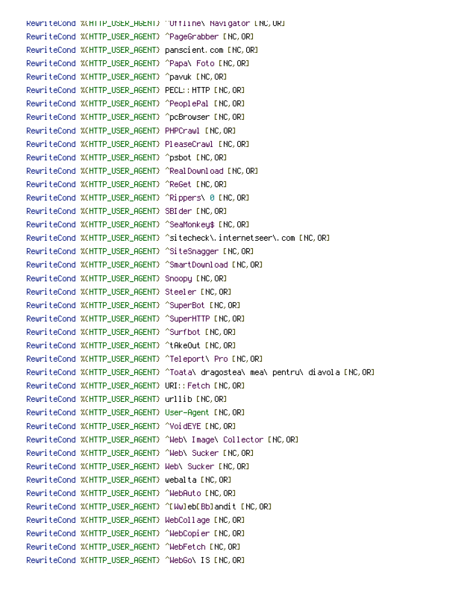RewriteCond %(HTTP\_USER\_RGENT) "Offline\ Navigator [NC, OR] RewriteCond %(HTTP\_USER\_AGENT) ^PageGrabber [NC, OR] RewriteCond %(HTTP\_USER\_AGENT) panscient.com [NC, OR] RewriteCond %(HTTP\_USER\_AGENT) ^Papa\ Foto [NC, OR] RewriteCond %(HTTP\_USER\_AGENT) ^pavuk [NC, OR] RewriteCond %(HTTP\_USER\_AGENT) PECL:: HTTP [NC, OR] RewriteCond %(HTTP\_USER\_AGENT) ^PeoplePal [NC, OR] RewriteCond %(HTTP\_USER\_AGENT) ^pcBrowser [NC, OR] RewriteCond %(HTTP\_USER\_AGENT) PHPCrawl [NC, OR] RewriteCond %(HTTP\_USER\_AGENT) PleaseCrawl [NC, OR] RewriteCond %(HTTP\_USER\_AGENT) ^psbot [NC, OR] RewriteCond %(HTTP\_USER\_AGENT) ^RealDownload [NC, OR] RewriteCond %(HTTP\_USER\_AGENT) ^ReGet [NC, OR] RewriteCond %(HTTP\_USER\_AGENT) ^Rippers\ 0 [NC, OR] RewriteCond %(HTTP\_USER\_AGENT) SBIder [NC, OR] RewriteCond %(HTTP\_USER\_AGENT) ^SeaMonkey\$ [NC, OR] RewriteCond %(HTTP\_USER\_AGENT) ^SiteSnagger [NC, OR] RewriteCond %(HTTP\_USER\_AGENT) ^SmartDownload [NC, OR] RewriteCond %(HTTP\_USER\_AGENT) Snoopy [NC, OR] RewriteCond %(HTTP\_USER\_AGENT) Steeler [NC, OR] RewriteCond %(HTTP\_USER\_AGENT) ^SuperBot [NC, OR] RewriteCond %(HTTP\_USER\_AGENT) ^SuperHTTP [NC, OR] RewriteCond %(HTTP\_USER\_AGENT) ^Surfbot [NC, OR] RewriteCond %(HTTP\_USER\_AGENT) ^tAkeOut [NC,OR] RewriteCond %(HTTP\_USER\_AGENT) ^Teleport\ Pro [NC, OR] RewriteCond %(HTTP\_USER\_AGENT) ^Toata\ dragostea\ mea\ pentru\ diavola [NC,OR] RewriteCond %(HTTP\_USER\_AGENT) URI:: Fetch INC, ORI RewriteCond %(HTTP\_USER\_AGENT) urllib [NC, OR] RewriteCond %(HTTP\_USER\_AGENT) User-Agent [NC, OR] RewriteCond %(HTTP\_USER\_AGENT) ^VoidEYE [NC, OR] RewriteCond %(HTTP\_USER\_AGENT) ^Web\ Image\ Collector [NC, OR] RewriteCond %(HTTP\_USER\_AGENT) ^Web\ Sucker [NC, OR] RewriteCond %(HTTP\_USER\_AGENT) Meb\ Sucker [NC, OR] RewriteCond %(HTTP\_USER\_AGENT) webalta [NC, OR] RewriteCond %(HTTP\_USER\_AGENT) ^WebAuto [NC, OR] RewriteCond %(HTTP\_USER\_AGENT) ^[Ww]eb[Bb]andit [NC,OR] RewriteCond %(HTTP\_USER\_AGENT) WebCollage [NC,OR] RewriteCond %(HTTP\_USER\_AGENT) ^WebCopier [NC, OR] RewriteCond %(HTTP\_USER\_AGENT) ^WebFetch [NC, OR] RewriteCond %(HTTP\_USER\_AGENT) ^WebGo\ IS [NC, OR]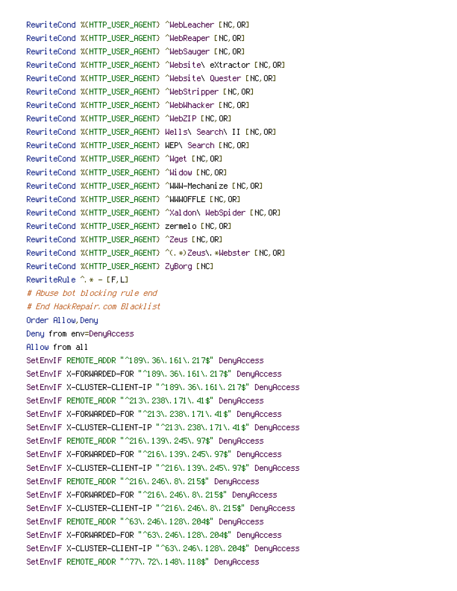RewriteCond %(HTTP\_USER\_AGENT) ^WebLeacher [NC, OR] RewriteCond %(HTTP\_USER\_AGENT) ^WebReaper [NC, OR] RewriteCond %(HTTP\_USER\_AGENT) ^WebSauger [NC, OR] RewriteCond %(HTTP\_USER\_AGENT) ^Website\ eXtractor [NC, OR] RewriteCond %(HTTP\_USER\_AGENT) ^Website\ Quester [NC, OR] RewriteCond %(HTTP\_USER\_AGENT) ^WebStripper [NC, OR] RewriteCond %(HTTP\_USER\_AGENT) ^WebWhacker [NC, OR] RewriteCond %(HTTP\_USER\_AGENT) ^WebZIP [NC, OR] RewriteCond %(HTTP USER AGENT) Wells\ Search\ II [NC.OR] RewriteCond %(HTTP\_USER\_AGENT) WEP\ Search [NC, OR] RewriteCond %(HTTP\_USER\_AGENT) ^Wget [NC, OR] RewriteCond %(HTTP\_USER\_AGENT) ^Widow [NC, OR] RewriteCond %(HTTP\_USER\_AGENT) ^WWW-Mechanize [NC, OR] RewriteCond %(HTTP\_USER\_AGENT) ^WWWOFFLE [NC, OR] RewriteCond %CHTTP\_USER\_AGENT} ^%aldon\ WebSpider ENC, ORI RewriteCond %(HTTP\_USER\_AGENT) zermelo [NC, OR] RewriteCond %(HTTP\_USER\_AGENT) ^Zeus [NC, OR] RewriteCond %(HTTP\_USER\_AGENT) ^(, \*)Zeus\, \*Webster [NC, OR] RewriteCond %(HTTP\_USER\_AGENT) ZuBorg [NC] RewriteRule  $\hat{A}$  \* - [F.L] # Abuse bot blocking rule end # End HackRepair, com Blacklist Onder Allow, Deny Denu from env=DenuAccess Allow from all SetEnvIF REMOTE\_ADDR "^189\, 36\, 161\, 217\$" DenyAccess SetEnvIF X-FORMARDED-FOR "^189\, 36\, 161\, 217\$" DenyAccess SetEnvIF X-CLUSTER-CLIENT-IP "^189\, 36\, 161\, 217\$" DenuAccess SetEnvIF\_REMOTE\_ADDR "^213\, 238\, 171\, 41\$" DenyAccess SetEnvIF X-FORMARDED-FOR "^213\, 238\, 171\, 41\$" DenyAccess SetEnvIF X-CLUSTER-CLIENT-IP "^213\, 238\, 171\, 41\$" DenuAccess SetEnvIF\_REMOTE\_ADDR "^216\, 139\, 245\, 97\$" DenyAccess SetEnvIF X-FORMARDED-FOR "^216\, 139\, 245\, 97\$" DenuAccess SetEnvIF X-CLUSTER-CLIENT-IP "^216\, 139\, 245\, 97\$" DenuAccess SetEnvIF\_REMOTE\_ADDR="^216\, 246\, 8\, 215\$" DenuAccess SetEnvIF X-FORWARDED-FOR "^216\, 246\, 8\, 215\$" DenyAccess SetEnvIF X-CLUSTER-CLIENT-IP "^216\, 246\, 8\, 215\$" DenuAccess SetEnvIF\_REMOTE\_ADDR "^63\, 246\, 128\, 204\$" DenyAccess SetEnvIF X-FORMARDED-FOR "^63\, 246\, 128\, 204\$" DenuAccess SetEnvIF X-CLUSTER-CLIENT-IP "^63\, 246\, 128\, 204\$" DenuAccess SetEnvIF REMOTE\_ADDR "^77\, 72\, 148\, 118\$" DenyAccess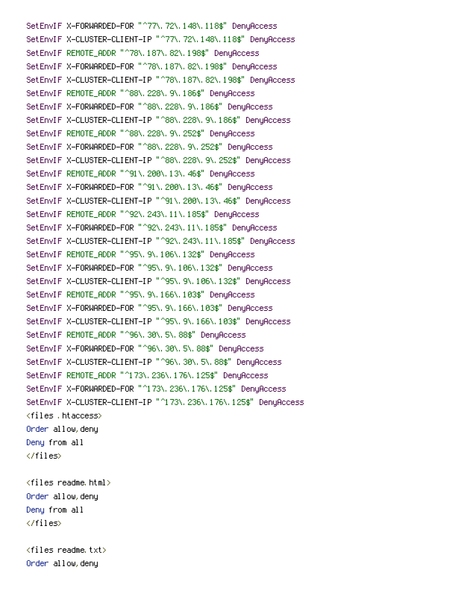SetEnvIF X-FORWARDED-FOR "^77\.72\.148\.118\$" DenyAccess SetEnvIF X-CLUSTER-CLIENT-IP "^77\, 72\, 148\, 118\$" DenuAccess SetEnvIF REMOTE\_ADDR "^78\, 187\, 82\, 198\$" DenyAccess SetEnvIF X-FORWARDED-FOR "^78\, 187\, 82\, 198\$" DenyAccess SetEnvIF X-CLUSTER-CLIENT-IP "^78\, 187\, 82\, 198\$" DenyAccess SetEnvIF REMOTE\_ADDR "^88\, 228\, 9\, 186\$" DenyAccess SetEnvIF X-FORWARDED-FOR "^88\, 228\, 9\, 186\$" DenyAccess SetEnvIF X-CLUSTER-CLIENT-IP "^88\, 228\, 9\, 186\$" DenyAccess SetEnvIF REMOTE\_ADDR "^88\, 228\, 9\, 252\$" DenyAccess SetEnvIF X-FORMARDED-FOR "^88\, 228\, 9\, 252\$" DenyAccess SetEnvIF X-CLUSTER-CLIENT-IP "^88\, 228\, 9\, 252\$" DenyAccess SetEnvIF\_REMOTE\_ADDR\_"^91\, 200\, 13\, 46\$"\_DenyAccess SetEnvIF X-FORMARDED-FOR "^91\, 200\, 13\, 46\$" DenyAccess SetEnvIF X-CLUSTER-CLIENT-IP "^91\, 200\, 13\, 46\$" DenyAccess SetEnvIF REMOTE\_ADDR "^92\, 243\, 11\, 185\$" DenuAccess SetEnvIF X-FORWARDED-FOR "^92\, 243\, 11\, 185\$" DenyAccess SetEnvIF X-CLUSTER-CLIENT-IP "^92\, 243\, 11\, 185\$" DenyAccess SetEnvIF REMOTE\_ADDR "^95\, 9\, 106\, 132\$" DenyAccess SetEnvIF X-FORWARDED-FOR "^95\, 9\, 106\, 132\$" DenyAccess SetEnvIF X-CLUSTER-CLIENT-IP "^95\, 9\, 106\, 132\$" DenyAccess SetEnvIF\_REMOTE\_ADDR "^95\, 9\, 166\, 103\$" DenyAccess SetEnvIF X-FORMARDED-FOR "^95\, 9\, 166\, 103\$" DenyAccess SetEnvIF X-CLUSTER-CLIENT-IP "^95\, 9\, 166\, 103\$" DenyAccess SetEnvIF REMOTE\_ADDR "^96\, 30\, 5\, 88\$" DenyAccess SetEnvIF X-FORWARDED-FOR "^96\, 30\, 5\, 88\$" DenyAccess SetEnvIF X-CLUSTER-CLIENT-IP "^96\, 30\, 5\, 88\$" DenyAccess SetEnvIF\_REMOTE\_ADDR "^173\, 236\, 176\, 125\$" DenyAccess SetEnvIF X-FORMARDED-FOR "^173\, 236\, 176\, 125\$" DenyAccess SetEnvIF X-CLUSTER-CLIENT-IP "^173\, 236\, 176\, 125\$" DenuAccess <files .htaccess> Order allow, deny Deny from all  $\langle$ /files>  $\langle$ files readme html $\rangle$ Order allow, deny Denu from all </files>

 $\langle \texttt{files} \rangle$  readme, txt $\rangle$ Order allow.denu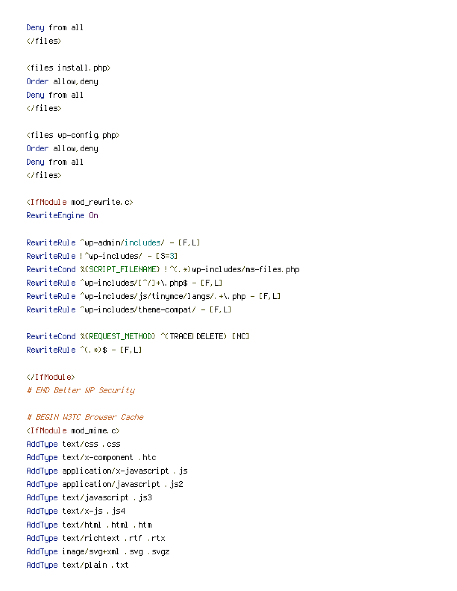Deny from all </files> <files install.php> Order allow, deny Deny from all  $\langle$ /files> <files wp-config.php> Order allow, deny Deny from all  $\langle$ /files> <IfModule mod\_rewrite.c> RewriteEngine On RewriteRule ^wp-admin/includes/ -  $[F, L]$ RewriteRule ! ^wp-includes/ - [S=3] RewriteCond %(SCRIPT\_FILENAME) !^(,\*)wp−includes/ms−files.php RewriteRule ^wp-includes/[^/]+\.php\$ - [F,L] RewriteRule ^wp-includes/js/tinymce/langs/.+\.php -  $[F, L]$ RewriteRule ^wp-includes/theme-compat/ -  $[F, L]$ RewriteCond %(REQUEST\_METHOD) ^(TRACELDELETE) [NC] RewriteRule  $\hat{C}$ , \*) \$ - [F, L] </IfModule> # END Better WP Security # BEGIN W3TC Browser Cache <IfModule mod\_mime.c> AddType text/css.css AddType text/x-component .htc AddType application/x-javascript .js AddType application/javascript .js2 AddType text/javascript .js3 AddType text/x-js .js4 AddType text/html .html .htm AddType text/richtext .rtf .rtx AddType image/svg+xml .svg .svgz

AddType text/plain.txt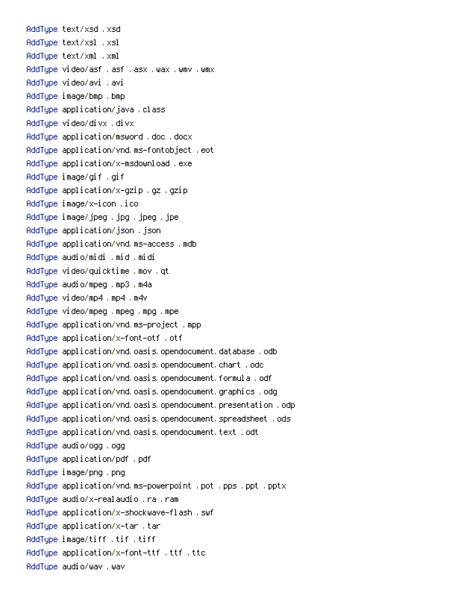AddTupe text/xsd.xsd AddTupe text/xsl .xsl AddTupe text/xml .xml AddTupe video/asf .asf .asx .wax .wmv .wmx AddTupe video/avi .avi AddTupe image/bmp .bmp AddTupe application/java.class AddTupe video/divx, divx AddTupe application/msword .doc .docx AddTupe application/vnd.ms-fontobject.eot AddTupe application/x-msdownload .exe AddTupe image/gif .gif AddTupe application/x-qzip .qz .qzip AddTupe image/x-icon .ico AddType image/jpeg .jpg .jpeg .jpe AddTupe application/json.json AddTupe application/vnd.ms-access.mdb AddTupe audio/midi .mid .midi AddTupe video/quicktime.mov.qt AddTupe audio/mpeg.mp3.m4a AddTupe video/mp4 .mp4 .m4v AddTupe video/mpeg.mpeg.mpg.mpe AddTupe application/vnd.ms-project.mpp AddTupe application/x-font-otf .otf AddTupe application/vnd.oasis.opendocument.database.odb AddTupe application/vnd.oasis.opendocument.chart .odc AddTupe application/vnd.oasis.opendocument.formula.odf AddTupe application/vnd.oasis.opendocument.graphics.odg AddTupe application/vnd.oasis.opendocument.presentation.odp AddTupe application/vnd.oasis.opendocument.spreadsheet.ods AddTupe application/vnd.oasis.opendocument.text.odt AddTupe audio/ogg, ogg AddTupe application/pdf .pdf AddTupe image/png.png AddTupe application/vnd.ms-powerpoint .pot .pps .ppt .pptx AddTupe audio/x-realaudio.ra.ram AddTupe application/x-shockwave-flash.swf AddTupe application/x-tar .tar AddTupe image/tiff .tif .tiff AddTupe application/x-font-ttf .ttf .ttc AddTupe audio/way, way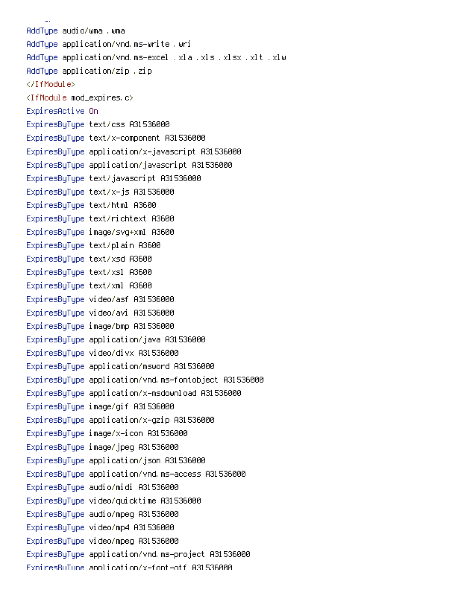AddType audio/wma .wma AddType application/vnd.ms—write .wri AddType application/vnd.ms-excel .xla .xls .xlsx .xlt .xlw AddType application/zip .zip  $\langle$ /IfModule> <IfModule mod\_expires.c> ExpiresActive On ExpiresByType text/css A31536000 ExpiresByType text/x-component A31536000 ExpiresByType application/x-javascript A31536000 ExpiresByType application/javascript A31536000 ExpiresByType text/javascript A31536000 ExpiresByType text/x–js A31536000 ExpiresByType text/html A3600 ExpiresByType text/richtext A3600 ExpiresByType image/svg+xml A3600 ExpiresByType text/plain A3600 ExpiresByType text/xsd A3600 ExpiresByType text/xsl A3600 ExpiresByType text/xml A3600 ExpiresByType video/asf A31536000 ExpiresByType video/avi A31536000 ExpiresByType image/bmp A31536000 ExpiresByType application/java A31536000 ExpiresByType video/divx A31536000 ExpiresByType application/msword A31536000 ExpiresByType application/vnd.ms-fontobject A31536000 ExpiresByType application/x-msdownload A31536000 ExpiresByType image/gif A31536000 ExpiresByType application/x-gzip A31536000 ExpiresByType image/x-icon A31536000 ExpiresByType image/jpeg A31536000 ExpiresByType application/json A31536000 ExpiresByType application/vnd.ms-access A31536000 ExpiresByType audio/midi A31536000 ExpiresByType video/quicktime A31536000 ExpiresByType audio/mpeg A31536000 ExpiresByType video/mp4 A31536000 ExpiresByType video/mpeg A31536000 ExpiresByType application/vnd.ms-project A31536000 ExpiresBuTupe application/x-font-otf A31536000

&+"-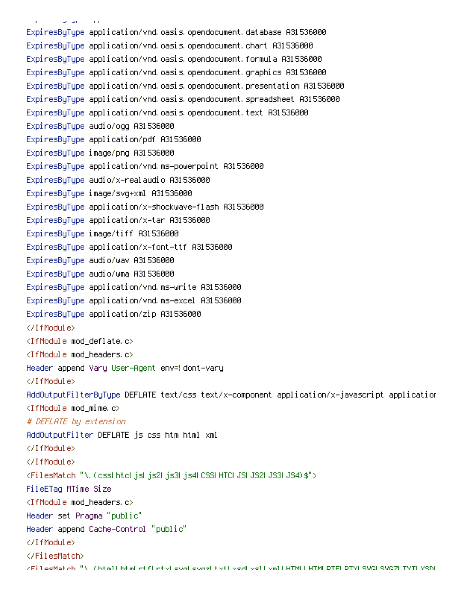ExpiresByType application/vnd.oasis.opendocument.database A31536000 ExpiresByType application/vnd.oasis.opendocument.chart A31536000 ExpiresByType application/vnd.oasis.opendocument.formula A31536000 ExpiresByType application/vnd.oasis.opendocument.graphics A31536000 ExpiresByType application/vnd.oasis.opendocument.presentation A31536000 ExpiresByType application/vnd.oasis.opendocument.spreadsheet A31536000 ExpiresByType application/vnd.oasis.opendocument.text A31536000 ExpiresByType audio/ogg A31536000 ExpiresByType application/pdf A31536000 ExpiresByType image/png A31536000 ExpiresByType application/vnd.ms-powerpoint A31536000 ExpiresByType audio/x-realaudio A31536000 ExpiresByType image/svg+xml A31536000 ExpiresByType application/x-shockwave-flash A31536000 ExpiresByType application/x-tar A31536000 ExpiresByType image/tiff A31536000 ExpiresByType application/x-font-ttf A31536000 Expi resByType (audio/way) A31 536000 ExpiresByType audio/wma A31536000 ExpiresByType application/vnd.ms-write A31536000 ExpiresByType application/vnd.ms-excel A31536000 ExpiresByType application/zip A31536000  $\langle$ /IfModule $\rangle$  $\triangleleft$ IfModule mod\_deflate, $\circlearrowright$  $\triangleleft$ IfModule mod\_headers, $\ket{\circ}$ Header append Vary User-Agent env=!dont-vary </IfModule> AddOutputFilterByType DEFLATE text/css text/x–component application/x–javascript application <IfModule mod\_mime.c> # DEFLATE by extension AddOutputFilter DEFLATE js css htm html xml  $\langle$ /IfModule> </IfModule> KFilesMatch "N. CossLhteLjsLjs2Ljs3Ljs4LCSSLHTCLJSLJS2LJS3LJS4D\$"> FileETag MTime Size  $\triangleleft$ IfModule mod\_headers, $\ket{\circ}$ Header set Pragma "public" Header append Cache–Control "public"  $\langle$ /IfModule> </FilesMatch>

ZEilesMatch "Nichtmllhtmlictflictivlisud sudzitivtlivsdlivsllivmllHTMLLHTMLDTELDTYLSUGLSUGZLTYTLYSDL

 -

 "+"- - P2 2-!H8MHI000